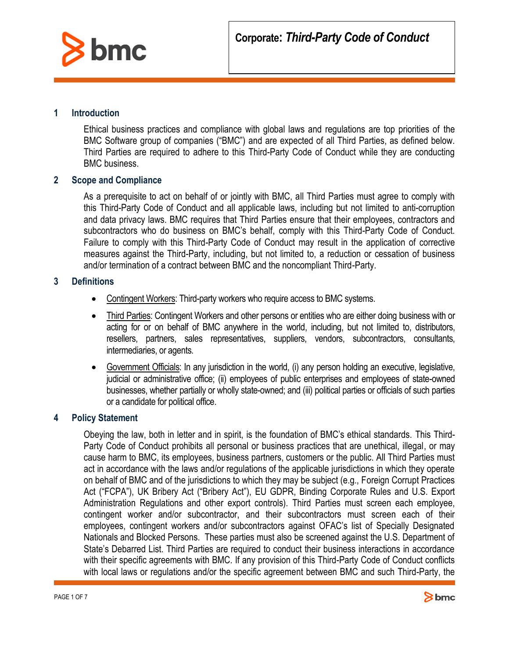

### **1 Introduction**

Ethical business practices and compliance with global laws and regulations are top priorities of the BMC Software group of companies ("BMC") and are expected of all Third Parties, as defined below. Third Parties are required to adhere to this Third-Party Code of Conduct while they are conducting BMC business.

### **2 Scope and Compliance**

As a prerequisite to act on behalf of or jointly with BMC, all Third Parties must agree to comply with this Third-Party Code of Conduct and all applicable laws, including but not limited to anti-corruption and data privacy laws. BMC requires that Third Parties ensure that their employees, contractors and subcontractors who do business on BMC's behalf, comply with this Third-Party Code of Conduct. Failure to comply with this Third-Party Code of Conduct may result in the application of corrective measures against the Third-Party, including, but not limited to, a reduction or cessation of business and/or termination of a contract between BMC and the noncompliant Third-Party.

### **3 Definitions**

- Contingent Workers: Third-party workers who require access to BMC systems.
- Third Parties: Contingent Workers and other persons or entities who are either doing business with or acting for or on behalf of BMC anywhere in the world, including, but not limited to, distributors, resellers, partners, sales representatives, suppliers, vendors, subcontractors, consultants, intermediaries, or agents.
- Government Officials: In any jurisdiction in the world, (i) any person holding an executive, legislative, judicial or administrative office; (ii) employees of public enterprises and employees of state-owned businesses, whether partially or wholly state-owned; and (iii) political parties or officials of such parties or a candidate for political office.

### **4 Policy Statement**

Obeying the law, both in letter and in spirit, is the foundation of BMC's ethical standards. This Third-Party Code of Conduct prohibits all personal or business practices that are unethical, illegal, or may cause harm to BMC, its employees, business partners, customers or the public. All Third Parties must act in accordance with the laws and/or regulations of the applicable jurisdictions in which they operate on behalf of BMC and of the jurisdictions to which they may be subject (e.g., Foreign Corrupt Practices Act ("FCPA"), UK Bribery Act ("Bribery Act"), EU GDPR, Binding Corporate Rules and U.S. Export Administration Regulations and other export controls). Third Parties must screen each employee, contingent worker and/or subcontractor, and their subcontractors must screen each of their employees, contingent workers and/or subcontractors against OFAC's list of Specially Designated Nationals and Blocked Persons. These parties must also be screened against the U.S. Department of State's Debarred List. Third Parties are required to conduct their business interactions in accordance with their specific agreements with BMC. If any provision of this Third-Party Code of Conduct conflicts with local laws or regulations and/or the specific agreement between BMC and such Third-Party, the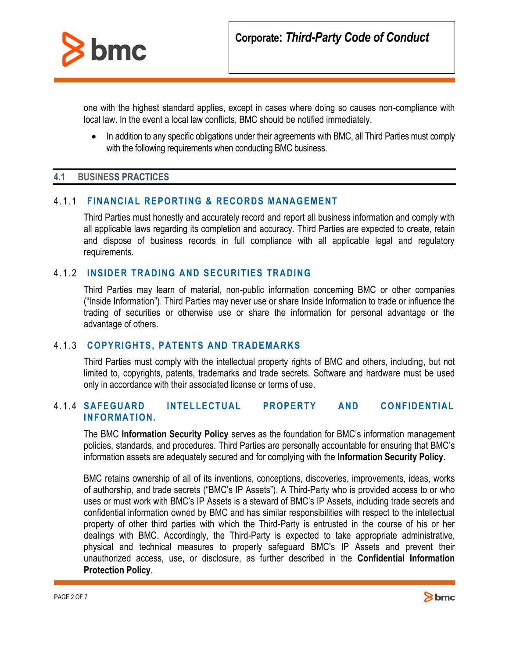

one with the highest standard applies, except in cases where doing so causes non-compliance with local law. In the event a local law conflicts, BMC should be notified immediately.

• In addition to any specific obligations under their agreements with BMC, all Third Parties must comply with the following requirements when conducting BMC business.

### **4.1 BUSINESS PRACTICES**

### 4.1.1 **FINANCIAL REPORTING & RECORDS MANAGEMENT**

Third Parties must honestly and accurately record and report all business information and comply with all applicable laws regarding its completion and accuracy. Third Parties are expected to create, retain and dispose of business records in full compliance with all applicable legal and regulatory requirements.

### 4.1.2 **INSIDER TRADING AND SECURITIES TRADING**

Third Parties may learn of material, non-public information concerning BMC or other companies ("Inside Information"). Third Parties may never use or share Inside Information to trade or influence the trading of securities or otherwise use or share the information for personal advantage or the advantage of others.

### 4.1.3 **COPYRIGHTS, PATENTS AND TRADEMARKS**

Third Parties must comply with the intellectual property rights of BMC and others, including, but not limited to, copyrights, patents, trademarks and trade secrets. Software and hardware must be used only in accordance with their associated license or terms of use.

# 4.1.4 **SAFEGUARD INTELLECTUAL PROPERTY AND CONFIDENTIAL INFORMATION.**

The BMC **Information Security Policy** serves as the foundation for BMC's information management policies, standards, and procedures. Third Parties are personally accountable for ensuring that BMC's information assets are adequately secured and for complying with the **Information Security Policy**.

BMC retains ownership of all of its inventions, conceptions, discoveries, improvements, ideas, works of authorship, and trade secrets ("BMC's IP Assets"). A Third-Party who is provided access to or who uses or must work with BMC's IP Assets is a steward of BMC's IP Assets, including trade secrets and confidential information owned by BMC and has similar responsibilities with respect to the intellectual property of other third parties with which the Third-Party is entrusted in the course of his or her dealings with BMC. Accordingly, the Third-Party is expected to take appropriate administrative, physical and technical measures to properly safeguard BMC's IP Assets and prevent their unauthorized access, use, or disclosure, as further described in the **Confidential Information Protection Policy**.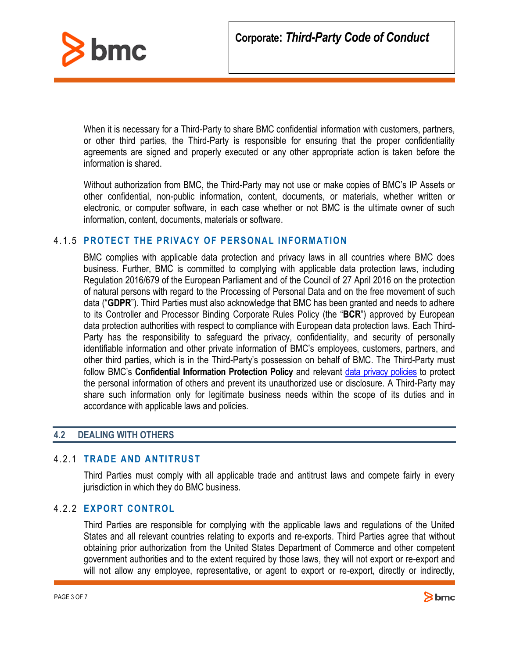

When it is necessary for a Third-Party to share BMC confidential information with customers, partners, or other third parties, the Third-Party is responsible for ensuring that the proper confidentiality agreements are signed and properly executed or any other appropriate action is taken before the information is shared.

Without authorization from BMC, the Third-Party may not use or make copies of BMC's IP Assets or other confidential, non-public information, content, documents, or materials, whether written or electronic, or computer software, in each case whether or not BMC is the ultimate owner of such information, content, documents, materials or software.

### 4.1.5 **PROTECT THE PRIVACY OF PERSONAL INFORMATION**

BMC complies with applicable data protection and privacy laws in all countries where BMC does business. Further, BMC is committed to complying with applicable data protection laws, including Regulation 2016/679 of the European Parliament and of the Council of 27 April 2016 on the protection of natural persons with regard to the Processing of Personal Data and on the free movement of such data ("**GDPR**"). Third Parties must also acknowledge that BMC has been granted and needs to adhere to its Controller and Processor Binding Corporate Rules Policy (the "**BCR**") approved by European data protection authorities with respect to compliance with European data protection laws. Each Third-Party has the responsibility to safeguard the privacy, confidentiality, and security of personally identifiable information and other private information of BMC's employees, customers, partners, and other third parties, which is in the Third-Party's possession on behalf of BMC. The Third-Party must follow BMC's **Confidential Information Protection Policy** and relevant [data privacy policies](https://www.bmc.com/legal/privacy-policy.html) to protect the personal information of others and prevent its unauthorized use or disclosure. A Third-Party may share such information only for legitimate business needs within the scope of its duties and in accordance with applicable laws and policies.

# **4.2 DEALING WITH OTHERS**

# 4.2.1 **TRADE AND ANTITRUST**

Third Parties must comply with all applicable trade and antitrust laws and compete fairly in every jurisdiction in which they do BMC business.

# 4.2.2 **EXPORT CONTROL**

Third Parties are responsible for complying with the applicable laws and regulations of the United States and all relevant countries relating to exports and re-exports. Third Parties agree that without obtaining prior authorization from the United States Department of Commerce and other competent government authorities and to the extent required by those laws, they will not export or re-export and will not allow any employee, representative, or agent to export or re-export, directly or indirectly,

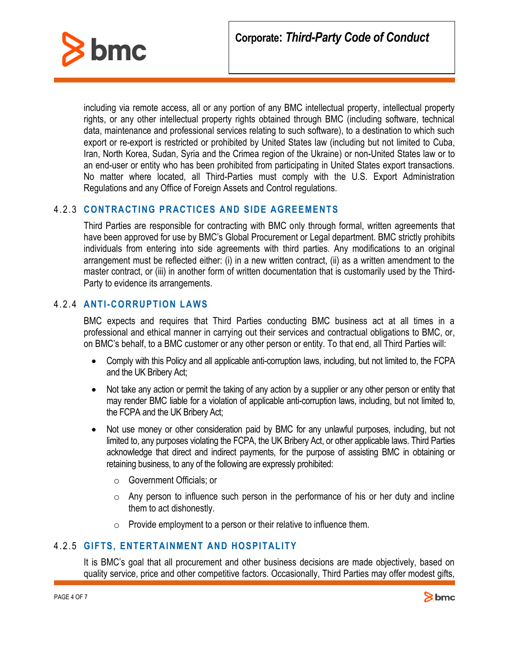

including via remote access, all or any portion of any BMC intellectual property, intellectual property rights, or any other intellectual property rights obtained through BMC (including software, technical data, maintenance and professional services relating to such software), to a destination to which such export or re-export is restricted or prohibited by United States law (including but not limited to Cuba, Iran, North Korea, Sudan, Syria and the Crimea region of the Ukraine) or non-United States law or to an end-user or entity who has been prohibited from participating in United States export transactions. No matter where located, all Third-Parties must comply with the U.S. Export Administration Regulations and any Office of Foreign Assets and Control regulations.

# 4.2.3 **CONTRACTING PRACTICES AND SIDE AGREEMENTS**

Third Parties are responsible for contracting with BMC only through formal, written agreements that have been approved for use by BMC's Global Procurement or Legal department. BMC strictly prohibits individuals from entering into side agreements with third parties. Any modifications to an original arrangement must be reflected either: (i) in a new written contract, (ii) as a written amendment to the master contract, or (iii) in another form of written documentation that is customarily used by the Third-Party to evidence its arrangements.

# 4.2.4 **ANTI-CORRUPTION LAWS**

BMC expects and requires that Third Parties conducting BMC business act at all times in a professional and ethical manner in carrying out their services and contractual obligations to BMC, or, on BMC's behalf, to a BMC customer or any other person or entity. To that end, all Third Parties will:

- Comply with this Policy and all applicable anti-corruption laws, including, but not limited to, the FCPA and the UK Bribery Act;
- Not take any action or permit the taking of any action by a supplier or any other person or entity that may render BMC liable for a violation of applicable anti-corruption laws, including, but not limited to, the FCPA and the UK Bribery Act;
- Not use money or other consideration paid by BMC for any unlawful purposes, including, but not limited to, any purposes violating the FCPA, the UK Bribery Act, or other applicable laws. Third Parties acknowledge that direct and indirect payments, for the purpose of assisting BMC in obtaining or retaining business, to any of the following are expressly prohibited:
	- o Government Officials; or
	- $\circ$  Any person to influence such person in the performance of his or her duty and incline them to act dishonestly.
	- $\circ$  Provide employment to a person or their relative to influence them.

# 4.2.5 **GIFTS, ENTERTAINMENT AND HOSPITALITY**

It is BMC's goal that all procurement and other business decisions are made objectively, based on quality service, price and other competitive factors. Occasionally, Third Parties may offer modest gifts,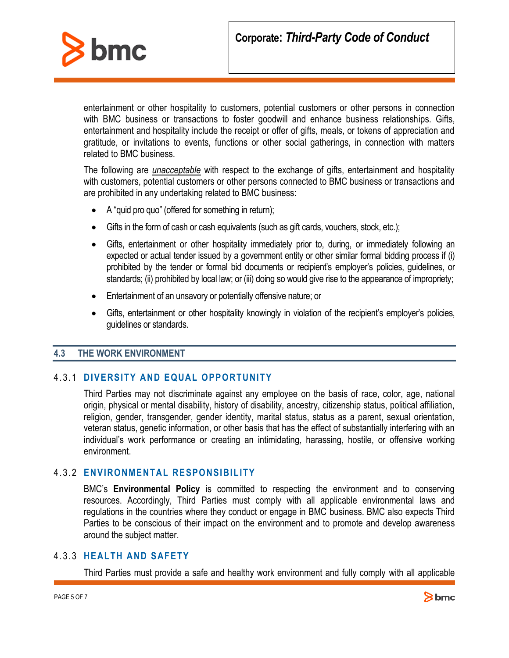

entertainment or other hospitality to customers, potential customers or other persons in connection with BMC business or transactions to foster goodwill and enhance business relationships. Gifts, entertainment and hospitality include the receipt or offer of gifts, meals, or tokens of appreciation and gratitude, or invitations to events, functions or other social gatherings, in connection with matters related to BMC business.

The following are *unacceptable* with respect to the exchange of gifts, entertainment and hospitality with customers, potential customers or other persons connected to BMC business or transactions and are prohibited in any undertaking related to BMC business:

- A "quid pro quo" (offered for something in return);
- Gifts in the form of cash or cash equivalents (such as gift cards, vouchers, stock, etc.);
- Gifts, entertainment or other hospitality immediately prior to, during, or immediately following an expected or actual tender issued by a government entity or other similar formal bidding process if (i) prohibited by the tender or formal bid documents or recipient's employer's policies, guidelines, or standards; (ii) prohibited by local law; or (iii) doing so would give rise to the appearance of impropriety;
- Entertainment of an unsavory or potentially offensive nature; or
- Gifts, entertainment or other hospitality knowingly in violation of the recipient's employer's policies, guidelines or standards.

# **4.3 THE WORK ENVIRONMENT**

# 4.3.1 **DIVERSITY AND EQUAL OPPORTUNITY**

Third Parties may not discriminate against any employee on the basis of race, color, age, national origin, physical or mental disability, history of disability, ancestry, citizenship status, political affiliation, religion, gender, transgender, gender identity, marital status, status as a parent, sexual orientation, veteran status, genetic information, or other basis that has the effect of substantially interfering with an individual's work performance or creating an intimidating, harassing, hostile, or offensive working environment.

# 4.3.2 **ENVIRONMENTAL RESPONSIBILITY**

BMC's **Environmental Policy** is committed to respecting the environment and to conserving resources. Accordingly, Third Parties must comply with all applicable environmental laws and regulations in the countries where they conduct or engage in BMC business. BMC also expects Third Parties to be conscious of their impact on the environment and to promote and develop awareness around the subject matter.

# 4.3.3 **HEALTH AND SAFETY**

Third Parties must provide a safe and healthy work environment and fully comply with all applicable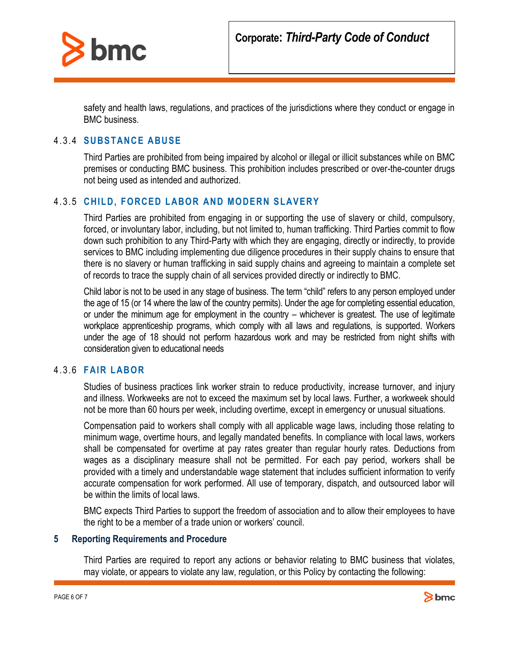

safety and health laws, regulations, and practices of the jurisdictions where they conduct or engage in BMC business.

### 4.3.4 **SUBSTANCE ABUSE**

Third Parties are prohibited from being impaired by alcohol or illegal or illicit substances while on BMC premises or conducting BMC business. This prohibition includes prescribed or over-the-counter drugs not being used as intended and authorized.

### 4.3.5 **CHILD, FORCED LABOR AND MODERN SLAVERY**

Third Parties are prohibited from engaging in or supporting the use of slavery or child, compulsory, forced, or involuntary labor, including, but not limited to, human trafficking. Third Parties commit to flow down such prohibition to any Third-Party with which they are engaging, directly or indirectly, to provide services to BMC including implementing due diligence procedures in their supply chains to ensure that there is no slavery or human trafficking in said supply chains and agreeing to maintain a complete set of records to trace the supply chain of all services provided directly or indirectly to BMC.

Child labor is not to be used in any stage of business. The term "child" refers to any person employed under the age of 15 (or 14 where the law of the country permits). Under the age for completing essential education, or under the minimum age for employment in the country – whichever is greatest. The use of legitimate workplace apprenticeship programs, which comply with all laws and regulations, is supported. Workers under the age of 18 should not perform hazardous work and may be restricted from night shifts with consideration given to educational needs

### 4.3.6 **FAIR LABOR**

Studies of business practices link worker strain to reduce productivity, increase turnover, and injury and illness. Workweeks are not to exceed the maximum set by local laws. Further, a workweek should not be more than 60 hours per week, including overtime, except in emergency or unusual situations.

Compensation paid to workers shall comply with all applicable wage laws, including those relating to minimum wage, overtime hours, and legally mandated benefits. In compliance with local laws, workers shall be compensated for overtime at pay rates greater than regular hourly rates. Deductions from wages as a disciplinary measure shall not be permitted. For each pay period, workers shall be provided with a timely and understandable wage statement that includes sufficient information to verify accurate compensation for work performed. All use of temporary, dispatch, and outsourced labor will be within the limits of local laws.

BMC expects Third Parties to support the freedom of association and to allow their employees to have the right to be a member of a trade union or workers' council.

#### **5 Reporting Requirements and Procedure**

Third Parties are required to report any actions or behavior relating to BMC business that violates, may violate, or appears to violate any law, regulation, or this Policy by contacting the following: